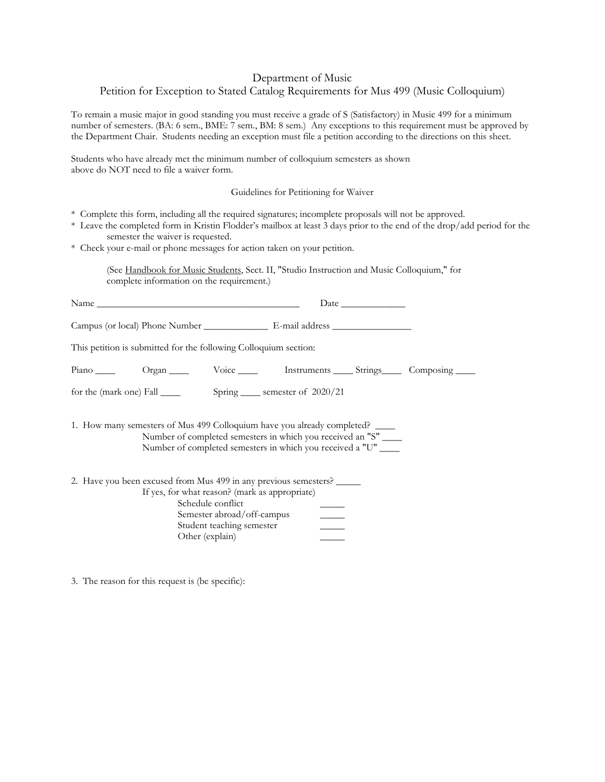## Department of Music

## Petition for Exception to Stated Catalog Requirements for Mus 499 (Music Colloquium)

To remain a music major in good standing you must receive a grade of S (Satisfactory) in Music 499 for a minimum number of semesters. (BA: 6 sem., BME: 7 sem., BM: 8 sem.) Any exceptions to this requirement must be approved by the Department Chair. Students needing an exception must file a petition according to the directions on this sheet.

Students who have already met the minimum number of colloquium semesters as shown above do NOT need to file a waiver form.

Guidelines for Petitioning for Waiver

- \* Complete this form, including all the required signatures; incomplete proposals will not be approved.
- \* Leave the completed form in Kristin Flodder's mailbox at least 3 days prior to the end of the drop/add period for the semester the waiver is requested.
- \* Check your e-mail or phone messages for action taken on your petition.

(See Handbook for Music Students, Sect. II, "Studio Instruction and Music Colloquium," for complete information on the requirement.)

|  |                 | This petition is submitted for the following Colloquium section:                                                                                                                                              |                          |  |  |
|--|-----------------|---------------------------------------------------------------------------------------------------------------------------------------------------------------------------------------------------------------|--------------------------|--|--|
|  |                 | Piano Organ Voice Instruments Strings Composing                                                                                                                                                               |                          |  |  |
|  |                 |                                                                                                                                                                                                               |                          |  |  |
|  |                 | 1. How many semesters of Mus 499 Colloquium have you already completed?<br>Number of completed semesters in which you received an "S" ____<br>Number of completed semesters in which you received a "U" _____ |                          |  |  |
|  | Other (explain) | 2. Have you been excused from Mus 499 in any previous semesters?<br>If yes, for what reason? (mark as appropriate)<br>Schedule conflict<br>Semester abroad/off-campus<br>Student teaching semester            | $\overline{\phantom{a}}$ |  |  |

3. The reason for this request is (be specific):